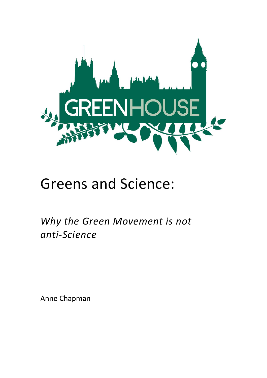

# Greens and Science:

Why the Green Movement is not *anti-Science*

Anne Chapman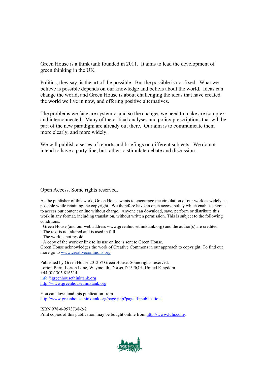Green House is a think tank founded in 2011. It aims to lead the development of green thinking in the UK.

Politics, they say, is the art of the possible. But the possible is not fixed. What we believe is possible depends on our knowledge and beliefs about the world. Ideas can change the world, and Green House is about challenging the ideas that have created the world we live in now, and offering positive alternatives.

The problems we face are systemic, and so the changes we need to make are complex and interconnected. Many of the critical analyses and policy prescriptions that will be part of the new paradigm are already out there. Our aim is to communicate them more clearly, and more widely.

We will publish a series of reports and briefings on different subjects. We do not intend to have a party line, but rather to stimulate debate and discussion.

#### Open Access. Some rights reserved.

As the publisher of this work, Green House wants to encourage the circulation of our work as widely as possible while retaining the copyright. We therefore have an open access policy which enables anyone to access our content online without charge. Anyone can download, save, perform or distribute this work in any format, including translation, without written permission. This is subject to the following conditions:

· Green House (and our web address www.greenhousethinktank.org) and the author(s) are credited

· The text is not altered and is used in full

· The work is not resold

· A copy of the work or link to its use online is sent to Green House.

Green House acknowledges the work of Creative Commons in our approach to copyright. To find out more go to www.creativecommons.org.

Published by Green House 2012 © Green House. Some rights reserved. Lorton Barn, Lorton Lane, Weymouth, Dorset DT3 5QH, United Kingdom. +44 (0)1305 816514 info@greenhousethinktank.org http://www.greenhousethinktank.org

You can download this publication from http://www.greenhousethinktank.org/page.php?pageid=publications

ISBN 978-0-9573738-2-2 Print copies of this publication may be bought online from http://www.lulu.com/.

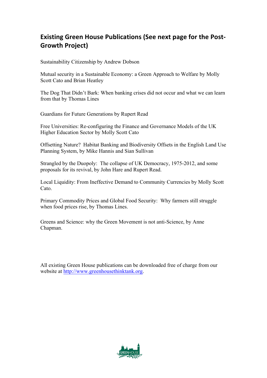# **Existing Green House Publications (See next page for the Post-Growth Project)**

Sustainability Citizenship by Andrew Dobson

Mutual security in a Sustainable Economy: a Green Approach to Welfare by Molly Scott Cato and Brian Heatley

The Dog That Didn't Bark: When banking crises did not occur and what we can learn from that by Thomas Lines

Guardians for Future Generations by Rupert Read

Free Universities: Re-configuring the Finance and Governance Models of the UK Higher Education Sector by Molly Scott Cato

Offsetting Nature? Habitat Banking and Biodiversity Offsets in the English Land Use Planning System, by Mike Hannis and Sian Sullivan

Strangled by the Duopoly: The collapse of UK Democracy, 1975-2012, and some proposals for its revival, by John Hare and Rupert Read.

Local Liquidity: From Ineffective Demand to Community Currencies by Molly Scott Cato.

Primary Commodity Prices and Global Food Security: Why farmers still struggle when food prices rise, by Thomas Lines.

Greens and Science: why the Green Movement is not anti-Science, by Anne Chapman.

All existing Green House publications can be downloaded free of charge from our website at http://www.greenhousethinktank.org.

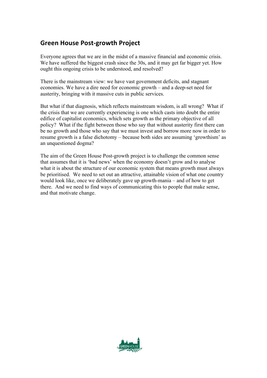#### **Green House Post-growth Project**

Everyone agrees that we are in the midst of a massive financial and economic crisis. We have suffered the biggest crash since the 30s, and it may get far bigger yet. How ought this ongoing crisis to be understood, and resolved?

There is the mainstream view: we have vast government deficits, and stagnant economies. We have a dire need for economic growth – and a deep-set need for austerity, bringing with it massive cuts in public services.

But what if that diagnosis, which reflects mainstream wisdom, is all wrong? What if the crisis that we are currently experiencing is one which casts into doubt the entire edifice of capitalist economics, which sets growth as the primary objective of all policy? What if the fight between those who say that without austerity first there can be no growth and those who say that we must invest and borrow more now in order to resume growth is a false dichotomy – because both sides are assuming 'growthism' as an unquestioned dogma?

The aim of the Green House Post-growth project is to challenge the common sense that assumes that it is 'bad news' when the economy doesn't grow and to analyse what it is about the structure of our economic system that means growth must always be prioritised. We need to set out an attractive, attainable vision of what one country would look like, once we deliberately gave up growth-mania – and of how to get there. And we need to find ways of communicating this to people that make sense, and that motivate change.

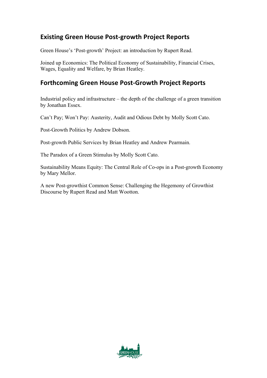### **Existing Green House Post-growth Project Reports**

Green House's 'Post-growth' Project: an introduction by Rupert Read.

Joined up Economics: The Political Economy of Sustainability, Financial Crises, Wages, Equality and Welfare, by Brian Heatley.

#### **Forthcoming Green House Post-Growth Project Reports**

Industrial policy and infrastructure – the depth of the challenge of a green transition by Jonathan Essex.

Can't Pay; Won't Pay: Austerity, Audit and Odious Debt by Molly Scott Cato.

Post-Growth Politics by Andrew Dobson.

Post-growth Public Services by Brian Heatley and Andrew Pearmain.

The Paradox of a Green Stimulus by Molly Scott Cato.

Sustainability Means Equity: The Central Role of Co-ops in a Post-growth Economy by Mary Mellor.

A new Post-growthist Common Sense: Challenging the Hegemony of Growthist Discourse by Rupert Read and Matt Wootton.

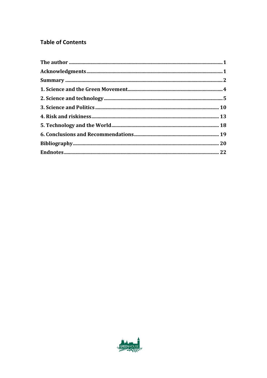#### **Table of Contents**

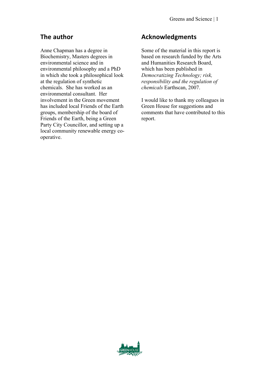### **The author**

Anne Chapman has a degree in Biochemistry, Masters degrees in environmental science and in environmental philosophy and a PhD in which she took a philosophical look at the regulation of synthetic chemicals. She has worked as an environmental consultant. Her involvement in the Green movement has included local Friends of the Earth groups, membership of the board of Friends of the Earth, being a Green Party City Councillor, and setting up a local community renewable energy cooperative.

#### **Acknowledgments**

Some of the material in this report is based on research funded by the Arts and Humanities Research Board, which has been published in *Democratizing Technology; risk, responsibility and the regulation of chemicals* Earthscan, 2007.

I would like to thank my colleagues in Green House for suggestions and comments that have contributed to this report.

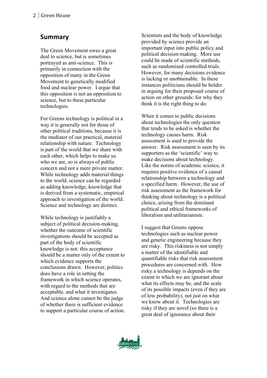#### **Summary**

The Green Movement owes a great deal to science, but is sometimes portrayed as anti -science. This is primarily in connection with the opposition of many in the Green Movement to genetically modified food and nuclear power. I argue that this opposition is not an opposition to science, but to these particular technologies.

For Greens technology is political in a way it is generally not for those of other political traditions, because it is the mediator of our practical, material relationship with nature. Technology is part of the world that we share with each other, which helps to make us who we are, so is always of public concern and not a mere private matter. While technology adds material things to the world, science can be regarded as adding knowledge, knowledge that is derived from a systematic, empirical approach to investigation of the world. Science and technology are distinct.

While technology is justifiably a subject of political decision -making, whether the outcome of scientific investigations should be accepted as part of the body of scientific knowledge is not: this acceptance should be a matter only of the extent to which evidence supports the conclusions drawn. However, politics does have a role in setting the framework in which science operates, with regard to the methods that are acceptable, and what it investigates. And science alone cannot be the judge of whether there is sufficient evidence to support a particular course of action.

Scientists and the body of knowledge provided by science provide an important input into public policy and political decision -making. More use could be made of scientific methods, such as randomised controlled trials. However, for many decisions evidence is lacking or unobtainable. In these instances politicians should be bolder in arguing for their proposed course of action on other grounds: for why they think it is the right thing to do.

When it comes to public decisions about technologies the only question that tends to be asked is whether the technology causes harm. Risk assessment is used to provide the answer. Risk assessment is seen by its supporters as the 'scientific' way to make decisions about technology. Like the norms of academic science, it requires positive evidence of a causal relationship between a technology and a specified harm. However, the use of risk assessment as the framework for thinking about technology is a political choice, arising from the dominant political and ethical frameworks of liberalism and utilitarianism.

I suggest that Greens oppose technologies such as nuclear power and genetic engineering because they are risky. This riskiness is not simply a matter of the identifiable and quantifiable risks that risk assessment procedures are concerned with. How risky a technology is depends on the extent to which we are ignorant about what its effects may be, and the scale of its possible impacts (even if they are of low probability), not just on what we know about it. Technologies are risky if they are novel (so there is a great deal of ignorance about their

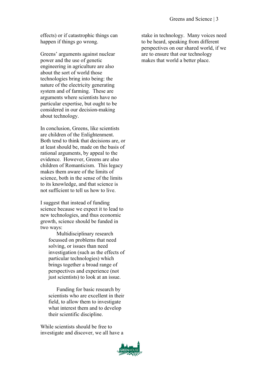effects) or if catastrophic things can happen if things go wrong.

Greens' arguments against nuclear power and the use of genetic engineering in agriculture are also about the sort of world those technologies bring into being: the nature of the electricity generating system and of farming. These are arguments where scientists have no particular expertise, but ought to be considered in our decision-making about technology.

In conclusion, Greens, like scientists are children of the Enlightenment. Both tend to think that decisions are, or at least should be, made on the basis of rational arguments, by appeal to the evidence. However, Greens are also children of Romanticism. This legacy makes them aware of the limits of science, both in the sense of the limits to its knowledge, and that science is not sufficient to tell us how to live.

I suggest that instead of funding science because we expect it to lead to new technologies, and thus economic growth, science should be funded in two ways:

Multidisciplinary research focussed on problems that need solving, or issues than need investigation (such as the effects of particular technologies) which brings together a broad range of perspectives and experience (not just scientists) to look at an issue.

Funding for basic research by scientists who are excellent in their field, to allow them to investigate what interest them and to develop their scientific discipline.

While scientists should be free to investigate and discover, we all have a



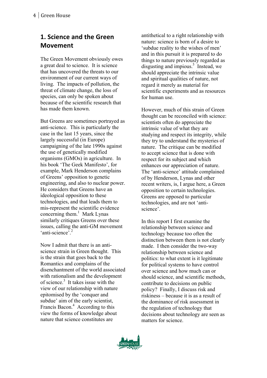# **1. Science and the Green Movement**

The Green Movement obviously owes a great deal to science. It is science that has uncovered the threats to our environment of our current ways of living. The impacts of pollution, the threat of climate change, the loss of species, can only be spoken about because of the scientific research that has made them known.

But Greens are sometimes portrayed as anti -science. This is particularly the case in the last 15 years, since the largely successful (in Europe) campaigning of the late 1990s against the use of genetically modified organisms (GMOs) in agriculture. In his book 'The Geek Manifesto', for example, Mark Henderson complains of Greens' opposition to genetic engineering, and also to nuclear power. He considers that Greens have an ideological opposition to these technologies, and that leads them to mis -represent the scientific evidence concerning them. 1 Mark Lynas similarly critiques Greens over these issues, calling the anti -GM movement 'anti-science'.<sup>2</sup>

Now I admit that there is an anti science strain in Green thought. This is the strain that goes back to the Romantics and complains of the disenchantment of the world associated with rationalism and the development of science. 3 It takes issue with the view of our relationship with nature epitomised by the 'conquer and subdue' aim of the early scientist, Francis Bacon.<sup>4</sup> According to this view the forms of knowledge about nature that science constitutes are

antithetical to a right relationship with nature: science is born of a desire to 'subdue reality to the wishes of men' and in this pursuit it is prepared to do things to nature previously regarded as disgusting and impious. 5 Instead, we should appreciate the intrinsic value and spiritual qualities of nature, not regard it merely as material for scientific experiments and as resources for human use.

However, much of this strain of Green thought can be reconciled with science: scientists often do appreciate the intrinsic value of what they are studying and respect its integrity, while they try to understand the mysteries of nature. The critique can be modified to accept science that is done with respect for its subject and which enhances our appreciation of nature. The 'anti -science' attitude complained of by Henderson, Lynas and other recent writers, is, I argue here, a Green opposition to certain technologies. Greens are opposed to particular technologies, and are not 'anti science'.

In this report I first examine the relationship between science and technology because too often the distinction between them is not clearly made. I then consider the two -way relationship between science and politics: to what extent is it legitimate for political systems to have control over science and how much can or should science, and scientific methods, contribute to decisions on public policy? Finally, I discuss risk and riskiness – because it is as a result of the dominance of risk assessment in the regulation of technology that decisions about technology are seen as matters for science.

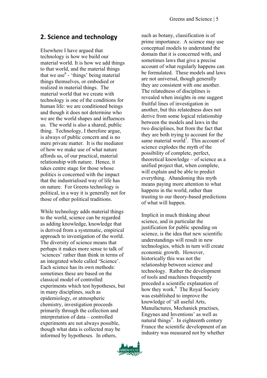#### **2. Science and technology**

Elsewhere I have argued that technology is how we build our material world. It is how we add things to that world, and the material things that we use  $6 -$  'things' being material things themselves, or embodied or realized in material things. The material world that we create with technology is one of the conditions for human life: we are conditioned beings and though it does not determine who we are the world shapes and influences us. The world is also a shared, public thing. Technology, I therefore argue, is always of public concern and is no mere private matter. It is the mediator of how we make use of what nature affords us, of our practical, material relationship with nature. Hence, it takes centre stage for those whose politics is concerned with the impact that the industrialised way of life has on nature. For Greens technology is political, in a way it is generally not for those of other political traditions.

While technology adds material things to the world, science can be regarded as adding knowledge, knowledge that is derived from a systematic, empirical approach to investigation of the world. The diversity of science means that perhaps it makes more sense to talk of 'sciences' rather than think in terms of an integrated whole called 'Science'. Each science has its own methods: sometimes these are based on the classical model of controlled experiments which test hypotheses, but in many disciplines, such as epidemiology, or atmospheric chemistry, investigation proceeds primarily through the collection and interpretation of data – controlled experiments are not always possible, though what data is collected may be informed by hypotheses. In others,

such as botany, classification is of prime importance. A science may use conceptual models to understand the domain that it is concerned with, and sometimes laws that give a precise account of what regularly happens can be formulated. These models and laws are not universal, though generally they are consistent with one another. The relatedness of disciplines is revealed when insights in one suggest fruitful lines of investigation in another, but this relatedness does not derive from some logical relationship between the models and laws in the two disciplines, but from the fact that they are both trying to account for the same material world<sup>7</sup>. This account of science explodes the myth of the possibility of complete, perfect, theoretical knowledge – of science as a unified project that, when complete, will explain and be able to predict everything. Abandoning this myth means paying more attention to what happens in the world, rather than trusting to our theory-based predictions of what will happen.

Implicit in much thinking about science, and in particular the justification for public spending on science, is the idea that new scientific understandings will result in new technologies, which in turn will create economic growth. However, historically this was not the relationship between science and technology. Rather the development of tools and machines frequently preceded a scientific explanation of how they work.<sup>8</sup> The Royal Society was established to improve the knowledge of 'all useful Arts, Manufactures, Mechanick practises, Engynes and Inventions' as well as natural things<sup>9</sup>. In eighteenth century France the scientific development of an industry was measured not by whether

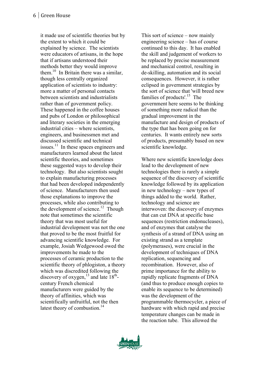it made use of scientific theories but by the extent to which it could be explained by science. The scientists were educators of artisans, in the hope that if artisans understood their methods better they would improve them.<sup>10</sup> In Britain there was a similar, though less centrally organized application of scientists to industry: more a matter of personal contacts between scientists and industrialists rather than of government policy. These happened in the coffee houses and pubs of London or philosophical and literary societies in the emerging industrial cities – where scientists, engineers, and businessmen met and discussed scientific and technical issues. $11$  In these spaces engineers and manufacturers learned about the latest scientific theories, and sometimes these suggested ways to develop their technology. But also scientists sought to explain manufacturing processes that had been developed independently of science. Manufacturers then used those explanations to improve the processes, while also contributing to the development of science.<sup>12</sup> Though note that sometimes the scientific theory that was most useful for industrial development was not the one that proved to be the most fruitful for advancing scientific knowledge. For example, Josiah Wedgewood owed the improvements he made to the processes of ceramic production to the scientific theory of phlogiston, a theory which was discredited following the discovery of oxygen,  $^{13}$  and late  $18^{th}$ century French chemical manufacturers were guided by the theory of affinities, which was scientifically unfruitful, not the then latest theory of combustion.<sup>14</sup>

This sort of science – now mainly engineering science – has of course continued to this day. It has enabled the skill and judgement of workers to be replaced by precise measurement and mechanical control, resulting in de -skilling, automation and its social consequences. However, it is rather eclipsed in government strategies by the sort of science that 'will breed new families of products'.<sup>15</sup> The government here seems to be thinking of something more radical than the gradual improvement in the manufacture and design of products of the type that has been going on for centuries. It wants entirely new sorts of products, presumably based on new scientific knowledge.

Where new scientific knowledge does lead to the development of new technologies there is rarely a simple sequence of the discovery of scientific knowledge followed by its application in new technology – new types of things added to the world. Rather, technology and science are interwoven: the discovery of enzymes that can cut DNA at specific base sequences (restriction endonucleases), and of enzymes that catalyse the synthesis of a strand of DNA using an existing strand as a template (polymerases), were crucial in the development of techniques of DNA replication, sequencing and recombination. However, also of prime importance for the ability to rapidly replicate fragments of DNA (and thus to produce enough copies to enable its sequence to be determined) was the development of the programmable thermocycler, a piece of hardware with which rapid and precise temperature changes can be made in the reaction tube. This allowed the

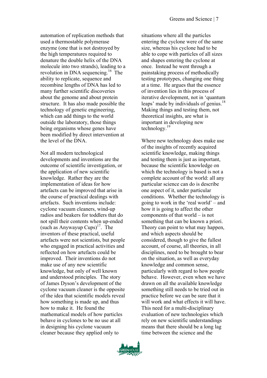automation of replication methods that used a thermostable polymerase enzyme (one that is not destroyed by the high temperatures required to denature the double helix of the DNA molecule into two strands), leading to a revolution in DNA sequencing.16 The ability to replicate, sequence and recombine lengths of DNA has led to many further scientific discoveries about the genome and about protein structure. It has also made possible the technology of genetic engineering, which can add things to the world outside the laboratory, those things being organisms whose genes have been modified by direct intervention at the level of the DNA.

Not all modern technological developments and inventions are the outcome of scientific investigation, or the application of new scientific knowledge. Rather they are the implementation of ideas for how artefacts can be improved that arise in the course of practical dealings with artefacts. Such inventions include: cyclone vacuum cleaners, wind-up radios and beakers for toddlers that do not spill their contents when up-ended (such as Anywayup Cups) $17$ . The inventors of these practical, useful artefacts were not scientists, but people who engaged in practical activities and reflected on how artefacts could be improved. Their inventions do not make use of any new scientific knowledge, but only of well known and understood principles. The story of James Dyson's development of the cyclone vacuum cleaner is the opposite of the idea that scientific models reveal how something is made up, and thus how to make it. He found the mathematical models of how particles behave in cyclones to be no use at all in designing his cyclone vacuum cleaner because they applied only to

situations where all the particles entering the cyclone were of the same size, whereas his cyclone had to be able to cope with particles of all sizes and shapes entering the cyclone at once. Instead he went through a painstaking process of methodically testing prototypes, changing one thing at a time. He argues that the essence of invention lies in this process of iterative development, not in 'quantum leaps' made by individuals of genius.<sup>18</sup> Making things and testing them, not theoretical insights, are what is important in developing new technology.<sup>19</sup>

Where new technology does make use of the insights of recently acquired scientific knowledge, making things and testing them is just as important, because the scientific knowledge on which the technology is based is not a complete account of the world: all any particular science can do is describe one aspect of it, under particular conditions. Whether the technology is going to work in the 'real world' – and how it is going to affect the other components of that world – is not something that can be known a priori. Theory can point to what may happen, and which aspects should be considered, though to give the fullest account, of course, all theories, in all disciplines, need to be brought to bear on the situation, as well as everyday knowledge and common sense, particularly with regard to how people behave. However, even when we have drawn on all the available knowledge something still needs to be tried out in practice before we can be sure that it will work and what effects it will have. This need for a multi-disciplinary evaluation of new technologies which rely on new scientific understandings means that there should be a long lag time between the science and the

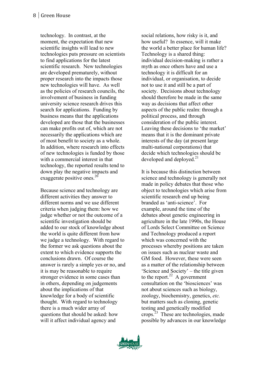technology. In contrast, at the moment, the expectation that new scientific insights will lead to new technologies puts pressure on scientists to find applications for the latest scientific research. New technologies are developed prematurely, without proper research into the impacts those new technologies will have. As well as the policies of research councils, the involvement of business in funding university science research drives this search for applications. Funding by business means that the applications developed are those that the businesses can make profits out of, which are not necessarily the applications which are of most benefit to society as a whole. In addition, where research into effects of new technologies is funded by those with a commercial interest in that technology, the reported results tend to down play the negative impacts and exaggerate positive ones.<sup>20</sup>

Because science and technology are different activities they answer to different norms and we use different criteria when judging them: how we judge whether or not the outcome of a scientific investigation should be added to our stock of knowledge about the world is quite different from how we judge a technology. With regard to the former we ask questions about the extent to which evidence supports the conclusions drawn. Of course the answer is rarely a simple yes or no, and it is may be reasonable to require stronger evidence in some cases than in others, depending on judgements about the implications of that knowledge for a body of scientific thought. With regard to technology there is a much wider array of questions that should be asked: how will it affect individual agency and

social relations, how risky is it, and how useful? In essence, will it make the world a better place for human life? Technology is a shared thing: individual decision -making is rather a myth as once others have and use a technology it is difficult for an individual, or organisation, to decide not to use it and still be a part of society. Decisions about technology should therefore be made in the same way as decisions that affect other aspects of the public realm: through a political process, and through consideration of the public interest. Leaving these decisions to 'the market' means that it is the dominant private interests of the day (at present large multi -national corporations) that decide which technologies should be developed and deployed. $^{21}$ 

It is because this distinction between science and technology is generally not made in policy debates that those who object to technologies which arise from scientific research end up being branded as 'anti -science'. For example, around the time of the debates about genetic engineering in agriculture in the late 1990s, the House of Lords Select Committee on Science and Technology produced a report which was concerned with the processes whereby positions are taken on issues such as nuclear waste and GM food. However, these were seen as a matter of the relationship between 'Science and Society' – the title given to the report.<sup>22</sup> A government consultation on the 'biosciences' was not about sciences such as biology, zoology, biochemistry, genetics, *etc.* but matters such as cloning, genetic testing and genetically modified crops.23 These are technologies, made possible by advances in our knowledge

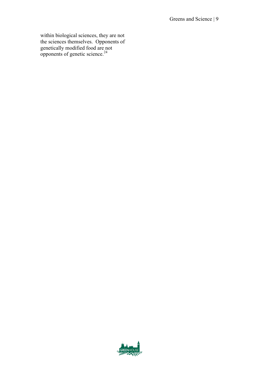within biological sciences, they are not the sciences themselves. Opponents of genetically modified food are not  $\frac{1}{2}$ opponents of genetic science.<sup>24</sup>

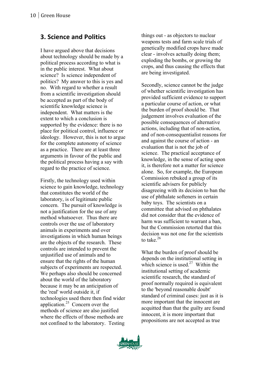#### **3. Science and Politics**

I have argued above that decisions about technology should be made by a political process according to what is in the public interest. What about science? Is science independent of politics? My answer to this is yes and no. With regard to whether a result from a scientific investigation should be accepted as part of the body of scientific knowledge science is independent. What matters is the extent to which a conclusion is supported by the evidence: there is no place for political control, influence or ideology. However, this is not to argue for the complete autonomy of science as a practice. There are at least three arguments in favour of the public and the political process having a say with regard to the practice of science.

Firstly, the technology used within science to gain knowledge, technology that constitutes the world of the laboratory, is of legitimate public concern. The pursuit of knowledge is not a justification for the use of any method whatsoever. Thus there are controls over the use of laboratory animals in experiments and over investigations in which human beings are the objects of the research. These controls are intended to prevent the unjustified use of animals and to ensure that the rights of the human subjects of experiments are respected. We perhaps also should be concerned about the world of the laboratory because it may be an anticipation of the 'real' world outside it, if technologies used there then find wider application.25 Concern over the methods of science are also justified where the effects of those methods are not confined to the laboratory. Testing

things out - as objectors to nuclear weapons tests and farm scale trials of genetically modified crops have made clear - involves actually doing them; exploding the bombs, or growing the crops, and thus causing the effects that are being investigated.

Secondly, science cannot be the judge of whether scientific investigation has provided sufficient evidence to support a particular course of action, or what the burden of proof should be. That judgement involves evaluation of the possible consequences of alternative actions, including that of non - action, and of non -consequentialist reasons for and against the course of action - an evaluation that is not the job of science. The practical acceptance of knowledge, in the sense of acting upon it, is therefore not a matter for science alone. So, for example, the European Commission rebuked a group of its scientific advisers for publicly disagreeing with its decision to ban the use of phthalate softeners in certain baby toys. The scientists on a committee that advised on phthalates did not consider that the evidence of harm was sufficient to warrant a ban, but the Commission retorted that this decision was not one for the scientists to take.<sup>26</sup>

What the burden of proof should be depends on the institutional setting in which science is used.<sup>27</sup> Within the institutional setting of academic scientific research, the standard of proof normally required is equivalent to the 'beyond reasonable doubt' standard of criminal cases: just as it is more important that the innocent are acquitted than that the guilty are found innocent, it is more important that propositions are not accepted as true

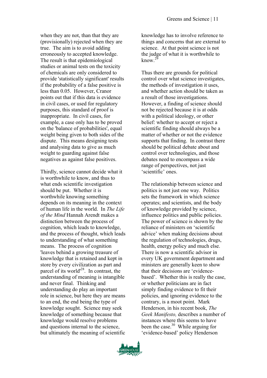when they are not, than that they are (provisionally) rejected when they are true. The aim is to avoid adding erroneously to accepted knowledge. The result is that epidemiological studies or animal tests on the toxicity of chemicals are only considered to provide 'statistically significant' results if the probability of a false positive is less than 0.05. However, Cranor points out that if this data is evidence in civil cases, or used for regulatory purposes, this standard of proof is inappropriate. In civil cases, for example, a case only has to be proved on the 'balance of probabilities', equal weight being given to both sides of the dispute. This means designing tests and analysing data to give as much weight to guarding against false negatives as against false positives.

Thirdly, science cannot decide what it is worthwhile to know, and thus to what ends scientific investigation should be put. Whether it is worthwhile knowing something depends on its meaning in the context of human life in the world. In *The Life of the Mind* Hannah Arendt makes a distinction between the process of cognition, which leads to knowledge, and the process of thought, which leads to understanding of what something means. The process of cognition 'leaves behind a growing treasure of knowledge that is retained and kept in store by every civilization as part and parcel of its world'28. In contrast, the understanding of meaning is intangible and never final. Thinking and understanding do play an important role in science, but here they are means to an end, the end being the type of knowledge sought. Science may seek knowledge of something because that knowledge would resolve problems and questions internal to the science, but ultimately the meaning of scientific knowledge has to involve reference to things and concerns that are external to science. At that point science is not the judge of what it is worthwhile to know  $29$ 

Thus there are grounds for political control over what science investigates, the methods of investigation it uses, and whether action should be taken as a result of those investigations. However, a finding of science should not be rejected because it is at odds with a political ideology, or other belief: whether to accept or reject a scientific finding should always be a matter of whether or not the evidence supports that finding. In contrast there should be political debate about and control over technologies, and those debates need to encompass a wide range of perspectives, not just 'scientific' ones.

The relationship between science and politics is not just one way. Politics sets the framework in which science operates; and scientists, and the body of knowledge provided by science, influence politics and public policies. The power of science is shown by the reliance of ministers on 'scientific advice' when making decisions about the regulation of technologies, drugs, health, energy policy and much else. There is now a scientific advisor in every UK government department and ministers are generally keen to show that their decisions are 'evidencebased'. Whether this is really the case, or whether politicians are in fact simply finding evidence to fit their policies, and ignoring evidence to the contrary, is a moot point. Mark Henderson, in his recent book, *The Geek Manifesto,* describes a number of instances where this seems to have been the case. $30$  While arguing for 'evidence-based' policy Henderson

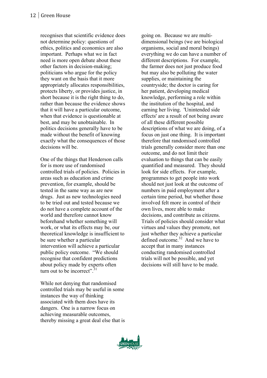recognises that scientific evidence does not determine policy: questions of ethics, politics and economics are also important. Perhaps what we in fact need is more open debate about these other factors in decision-making; politicians who argue for the policy they want on the basis that it more appropriately allocates responsibilities, protects liberty, or provides justice, in short because it is the right thing to do, rather than because the evidence shows that it will have a particular outcome, when that evidence is questionable at best, and may be unobtainable. In politics decisions generally have to be made without the benefit of knowing exactly what the consequences of those decisions will be.

One of the things that Henderson calls for is more use of randomised controlled trials of policies. Policies in areas such as education and crime prevention, for example, should be tested in the same way as are new drugs. Just as new technologies need to be tried out and tested because we do not have a complete account of the world and therefore cannot know beforehand whether something will work, or what its effects may be, our theoretical knowledge is insufficient to be sure whether a particular intervention will achieve a particular public policy outcome. "We should recognise that confident predictions about policy made by experts often turn out to be incorrect". $31$ 

While not denying that randomised controlled trials may be useful in some instances the way of thinking associated with them does have its dangers. One is a narrow focus on achieving measurable outcomes, thereby missing a great deal else that is

going on. Because we are multidimensional beings (we are biological organisms, social and moral beings) everything we do can have a number of different descriptions. For example, the farmer does not just produce food but may also be polluting the water supplies, or maintaining the countryside; the doctor is caring for her patient, developing medical knowledge, performing a role within the institution of the hospital, and earning her living. 'Unintended side effects' are a result of not being aware of all these different possible descriptions of what we are doing, of a focus on just one thing. It is important therefore that randomised controlled trials generally consider more than one outcome, and do not limit their evaluation to things that can be easily quantified and measured. They should look for side effects. For example, programmes to get people into work should not just look at the outcome of numbers in paid employment after a certain time period, but whether those involved felt more in control of their own lives, more able to make decisions, and contribute as citizens. Trials of policies should consider what virtues and values they promote, not just whether they achieve a particular defined outcome.<sup>32</sup> And we have to accept that in many instances conducting randomised controlled trials will not be possible, and yet decisions will still have to be made.

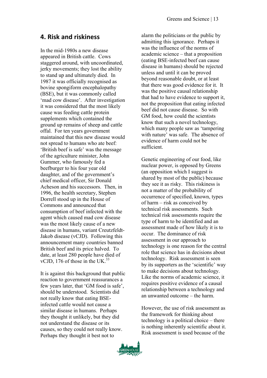#### **4. Risk and riskiness**

In the mid-1980s a new disease appeared in British cattle. Cows staggered around, with uncoordinated, jerky movements; they lost the ability to stand up and ultimately died. In 1987 it was officially recognised as bovine spongiform encephalopathy (BSE), but it was commonly called 'mad cow disease'. After investigation it was considered that the most likely cause was feeding cattle protein supplements which contained the ground up remains of sheep and cattle offal. For ten years government maintained that this new disease would not spread to humans who ate beef: 'British beef is safe' was the message of the agriculture minister, John Gummer, who famously fed a beefburger to his four year old daughter, and of the government's chief medical officer, Sir Donald Acheson and his successors. Then, in 1996, the health secretary, Stephen Dorrell stood up in the House of Commons and announced that consumption of beef infected with the agent which caused mad cow disease was the most likely cause of a new disease in humans, variant Creutzfeldt-Jakob disease (vCJD). Following this announcement many countries banned British beef and its price halved. To date, at least 280 people have died of vCJD, 176 of those in the UK. $^{33}$ 

It is against this background that public reaction to government reassurances a few years later, that 'GM food is safe', should be understood. Scientists did not really know that eating BSEinfected cattle would not cause a similar disease in humans. Perhaps they thought it unlikely, but they did not understand the disease or its causes, so they could not really know. Perhaps they thought it best not to

alarm the politicians or the public by admitting this ignorance. Perhaps it was the influence of the norms of academic science – that a proposition (eating BSE-infected beef can cause disease in humans) should be rejected unless and until it can be proved beyond reasonable doubt, or at least that there was good evidence for it. It was the positive causal relationship that had to have evidence to support it, not the proposition that eating infected beef did not cause disease. So with GM food, how could the scientists know that such a novel technology, which many people saw as 'tampering with nature' was safe. The absence of evidence of harm could not be sufficient.

Genetic engineering of our food, like nuclear power, is opposed by Greens (an opposition which I suggest is shared by most of the public) because they see it as risky. This riskiness is not a matter of the probability of occurrence of specified, known, types of harm – risk as conceived by technical risk assessments. Such technical risk assessments require the type of harm to be identified and an assessment made of how likely it is to occur. The dominance of risk assessment in our approach to technology is one reason for the central role that science has in decisions about technology. Risk assessment is seen by its supporters as the 'scientific' way to make decisions about technology. Like the norms of academic science, it requires positive evidence of a causal relationship between a technology and an unwanted outcome – the harm.

However, the use of risk assessment as the framework for thinking about technology is a political choice – there is nothing inherently scientific about it. Risk assessment is used because of the

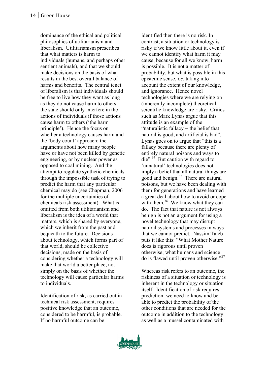dominance of the ethical and political philosophies of utilitarianism and liberalism. Utilitarianism prescribes that what matters is harm to individuals (humans, and perhaps other sentient animals), and that we should make decisions on the basis of what results in the best overall balance of harms and benefits. The central tenet of liberalism is that individuals should be free to live how they want as long as they do not cause harm to others: the state should only interfere in the actions of individuals if those actions cause harm to others ('the harm principle'). Hence the focus on whether a technology causes harm and the 'body count' approach: the arguments about how many people have or have not been killed by genetic engineering, or by nuclear power as opposed to coal mining. And the attempt to regulate synthetic chemicals through the impossible task of trying to predict the harm that any particular chemical may do (see Chapman, 2006 for the multiple uncertainties of chemicals risk assessment). What is omitted from both utilitarianism and liberalism is the idea of a world that matters, which is shared by everyone, which we inherit from the past and bequeath to the future. Decisions about technology, which forms part of that world, should be collective decisions, made on the basis of considering whether a technology will make that world a better place, not simply on the basis of whether the technology will cause particular harms to individuals.

Identification of risk, as carried out in technical risk assessment, requires positive knowledge that an outcome, considered to be harmful, is probable. If no harmful outcome can be

identified then there is no risk. In contrast, a situation or technology is risky if we know little about it, even if we cannot identify what harm it may cause, because for all we know, harm is possible. It is not a matter of probability, but what is possible in this epistemic sense, *i.e.* taking into account the extent of our knowledge, and ignorance. Hence novel technologies where we are relying on (inherently incomplete) theoretical scientific knowledge are risky. Critics such as Mark Lynas argue that this attitude is an example of the "naturalistic fallacy – the belief that natural is good, and artificial is bad". Lynas goes on to argue that "this is a fallacy because there are plenty of entirely natural poisons and ways to  $\text{die}^{34}$  But caution with regard to 'unnatural' technologies does not imply a belief that all natural things are good and benign.<sup>35</sup> There are natural poisons, but we have been dealing with them for generations and have learned a great deal about how to avoid or cope with them. $36$  We know what they can do. The fact that nature is not always benign is not an argument for using a novel technology that may disrupt natural systems and processes in ways that we cannot predict. Nassim Taleb puts it like this: "What Mother Nature does is rigorous until proven otherwise; what humans and science do is flawed until proven otherwise."<sup>37</sup>

Whereas risk refers to an outcome, the riskiness of a situation or technology is inherent in the technology or situation itself. Identification of risk requires prediction: we need to know and be able to predict the probability of the other conditions that are needed for the outcome in addition to the technology: as well as a mussel contaminated with

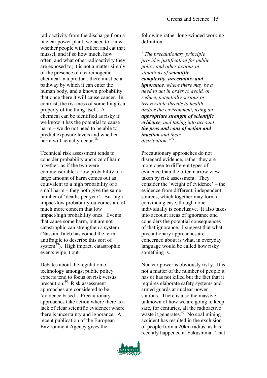radioactivity from the discharge from a nuclear power plant, we need to know whether people will collect and eat that mussel, and if so how much, how often, and what other radioactivity they are exposed to; it is not a matter simply of the presence of a carcinogenic chemical in a product, there must be a pathway by which it can enter the human body, and a known probability that once there it will cause cancer. In contrast, the riskiness of something is a property of the thing itself. A chemical can be identified as risky if we know it has the potential to cause harm – we do not need to be able to predict exposure levels and whether harm will actually occur.<sup>38</sup>

Technical risk assessment tends to consider probability and size of harm together, as if the two were commensurable: a low probability of a large amount of harm comes out as equivalent to a high probability of a small harm – they both give the same number of 'deaths per year'. But high impact/low probability outcomes are of much more concern that low impact/high probability ones. Events that cause some harm, but are not catastrophic can strengthen a system (Nassim Taleb has coined the term antifragile to describe this sort of system $^{39}$ ). High impact, catastrophic events wipe it out.

Debates about the regulation of technology amongst public policy experts tend to focus on risk versus precaution.40 Risk assessment approaches are considered to be 'evidence based'. Precautionary approaches take action where there is a lack of clear scientific evidence: where there is uncertainty and ignorance. A recent publication of the European Environment Agency gives the

following rather long-winded working definition:

*"The precautionary principle provides justification for public policy and other actions in situations of scientific complexity, uncertainty and ignorance, where there may be a need to act in order to avoid, or reduce, potentially serious or irreversible threats to health and/or the environment, using an appropriate strength of scientific evidence, and taking into account the pros and cons of action and inaction and their distribution."<sup>41</sup>*

Precautionary approaches do not disregard evidence, rather they are more open to different types of evidence than the often narrow view taken by risk assessment. They consider the 'weight of evidence' – the evidence from different, independent sources, which together may form a convincing case, though none individually is conclusive. It also takes into account areas of ignorance and considers the potential consequences of that ignorance. I suggest that what precautionary approaches are concerned about is what, in everyday language would be called how risky something is.

Nuclear power is obviously risky. It is not a matter of the number of people it has or has not killed but the fact that it requires elaborate safety systems and armed guards at nuclear power stations. There is also the massive unknown of how we are going to keep safe, for centuries, all the radioactive waste it generates.<sup>42</sup> No coal mining accident has resulted in the exclusion of people from a 20km radius, as has recently happened at Fukushima. That

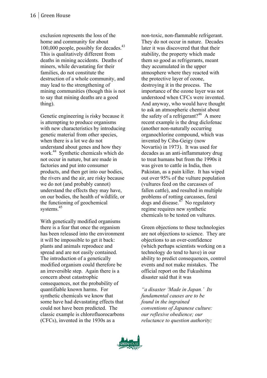exclusion represents the loss of the home and community for about 100,000 people, possibly for decades.<sup>43</sup> This is qualitatively different from deaths in mining accidents. Deaths of miners, while devastating for their families, do not constitute the destruction of a whole community, and may lead to the strengthening of mining communities (though this is not to say that mining deaths are a good thing).

Genetic engineering is risky because it is attempting to produce organisms with new characteristics by introducing genetic material from other species, when there is a lot we do not understand about genes and how they work.44 Synthetic chemicals which do not occur in nature, but are made in factories and put into consumer products, and then get into our bodies, the rivers and the air, are risky because we do not (and probably cannot) understand the effects they may have, on our bodies, the health of wildlife, or the functioning of geochemical systems.<sup>45</sup>

With genetically modified organisms there is a fear that once the organism has been released into the environment it will be impossible to get it back: plants and animals reproduce and spread and are not easily contained. The introduction of a genetically modified organism could therefore be an irreversible step. Again there is a concern about catastrophic consequences, not the probability of quantifiable known harms. For synthetic chemicals we know that some have had devastating effects that could not have been predicted. The classic example is chlorofluorocarbons (CFCs), invented in the 1930s as a

non-toxic, non-flammable refrigerant. They do not occur in nature. Decades later it was discovered that that their stability, the property which made them so good as refrigerants, meant they accumulated in the upper atmosphere where they reacted with the protective layer of ozone, destroying it in the process. The importance of the ozone layer was not understood when CFCs were invented. And anyway, who would have thought to ask an atmospheric chemist about the safety of a refrigerant?<sup>46</sup> A more recent example is the drug diclofenac (another non-naturally occurring organochlorine compound, which was invented by Ciba-Geigy (now Novartis) in 1973). It was used for decades as an anti-inflammatory drug to treat humans but from the 1990s it was given to cattle in India, then Pakistan, as a pain killer. It has wiped out over 95% of the vulture population (vultures feed on the carcasses of fallen cattle), and resulted in multiple problems of rotting carcasses, feral dogs and disease. $^{47}$  No regulatory regime requires new synthetic chemicals to be tested on vultures.

Green objections to these technologies are not objections to science. They are objections to an over-confidence (which perhaps scientists working on a technology do tend to have) in our ability to predict consequences, control events and not make mistakes. The official report on the Fukushima disaster said that it was

*"a disaster 'Made in Japan.' Its fundamental causes are to be found in the ingrained conventions of Japanese culture: our reflexive obedience; our reluctance to question authority;* 

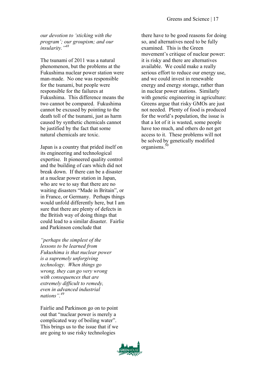*our devotion to 'sticking with the program'; our groupism; and our insularity."<sup>48</sup>*

The tsunami of 2011 was a natural phenomenon, but the problems at the Fukushima nuclear power station were man-made. No one was responsible for the tsunami, but people were responsible for the failures at Fukushima. This difference means the two cannot be compared. Fukushima cannot be excused by pointing to the death toll of the tsunami, just as harm caused by synthetic chemicals cannot be justified by the fact that some natural chemicals are toxic.

Japan is a country that prided itself on its engineering and technological expertise. It pioneered quality control and the building of cars which did not break down. If there can be a disaster at a nuclear power station in Japan, who are we to say that there are no waiting disasters "Made in Britain", or in France, or Germany. Perhaps things would unfold differently here, but I am sure that there are plenty of defects in the British way of doing things that could lead to a similar disaster. Fairlie and Parkinson conclude that

*"perhaps the simplest of the lessons to be learned from Fukushima is that nuclear power is a supremely unforgiving technology. When things go wrong, they can go very wrong with consequences that are extremely difficult to remedy, even in advanced industrial nations".49* 

Fairlie and Parkinson go on to point out that "nuclear power is merely a complicated way of boiling water". This brings us to the issue that if we are going to use risky technologies

there have to be good reasons for doing so, and alternatives need to be fully examined. This is the Green movement's critique of nuclear power: it is risky and there are alternatives available. We could make a really serious effort to reduce our energy use, and we could invest in renewable energy and energy storage, rather than in nuclear power stations. Similarly with genetic engineering in agriculture: Greens argue that risky GMOs are just not needed. Plenty of food is produced for the world's population, the issue is that a lot of it is wasted, some people have too much, and others do not get access to it. These problems will not be solved by genetically modified organisms.<sup>50</sup>

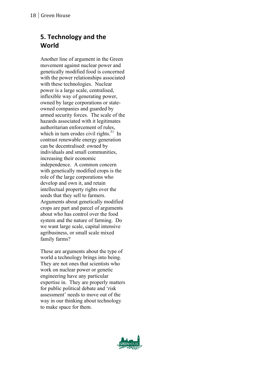# **5. Technology and the World**

Another line of argument in the Green movement against nuclear power and genetically modified food is concerned with the power relationships associated with these technologies. Nuclear power is a large scale, centralised, inflexible way of generating power, owned by large corporations or stateowned companies and guarded by armed security forces. The scale of the hazards associated with it legitimates authoritarian enforcement of rules, which in turn erodes civil rights. $51$  In contrast renewable energy generation can be decentralised: owned by individuals and small communities, increasing their economic independence. A common concern with genetically modified crops is the role of the large corporations who develop and own it, and retain intellectual property rights over the seeds that they sell to farmers. Arguments about genetically modified crops are part and parcel of arguments about who has control over the food system and the nature of farming. Do we want large scale, capital intensive agribusiness, or small scale mixed family farms?

These are arguments about the type of world a technology brings into being. They are not ones that scientists who work on nuclear power or genetic engineering have any particular expertise in. They are properly matters for public political debate and 'risk assessment' needs to move out of the way in our thinking about technology to make space for them.

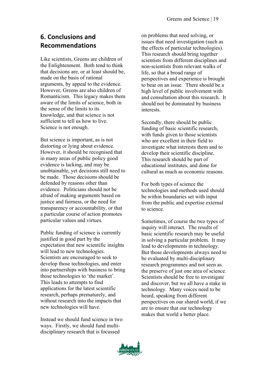# **6. Conclusions and Recommendations**

Like scientists, Greens are children of the Enlightenment. Both tend to think that decisions are, or at least should be, made on the basis of rational arguments, by appeal to the evidence. However, Greens are also children of Romanticism. This legacy makes them aware of the limits of science, both in the sense of the limits to its knowledge, and that science is not sufficient to tell us how to live. Science is not enough.

But science is important, as is not distorting or lying about evidence. However, it should be recognised that in many areas of public policy good evidence is lacking, and may be unobtainable, yet decisions still need to be made. Those decisions should be defended by reasons other than evidence. Politicians should not be afraid of making arguments based on justice and fairness, or the need for transparency or accountability, or that a particular course of action promotes particular values and virtues.

Public funding of science is currently justified in good part by the expectation that new scientific insights will lead to new technologies. Scientists are encouraged to seek to develop those technologies, and enter into partnerships with business to bring those technologies to 'the market'. This leads to attempts to find applications for the latest scientific research, perhaps prematurely, and without research into the impacts that new technologies will have.

Instead we should fund science in two ways. Firstly, we should fund multidisciplinary research that is focussed

on problems that need solving, or issues that need investigation (such as the effects of particular technologies). This research should bring together scientists from different disciplines and non-scientists from relevant walks of life, so that a broad range of perspectives and experience is brought to bear on an issue. There should be a high level of public involvement with and consultation about this research. It should not be dominated by business interests.

Secondly, there should be public funding of basic scientific research, with funds given to those scientists who are excellent in their field to investigate what interests them and to develop their scientific discipline. This research should be part of educational institutes, and done for cultural as much as economic reasons.

For both types of science the technologies and methods used should be within boundaries set with input from the public and expertise external to science.

Sometimes, of course the two types of inquiry will interact. The results of basic scientific research may be useful in solving a particular problem. It may lead to developments in technology. But those developments always need to be evaluated by multi-disciplinary research programmes and not seen as the preserve of just one area of science. Scientists should be free to investigate and discover, but we all have a stake in technology. Many voices need to be heard, speaking from different perspectives on our shared world, if we are to ensure that our technology makes that world a better place.

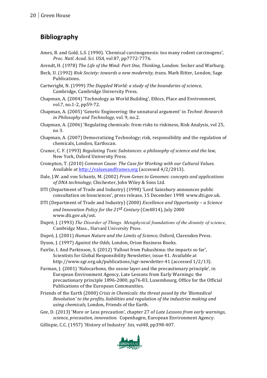# **Bibliography**

- Ames, B. and Gold, L.S. (1990). 'Chemical carcinogenesis: too many rodent carcinogens'. *Proc. Natl. Acad. Sci. USA,* vol 87, pp7772-7776.
- Arendt, H. (1978) The Life of the Mind: Part One, Thinking, London: Secker and Warburg.
- Beck, U. (1992) *Risk Society: towards a new modernity, trans. Mark Ritter, London, Sage* Publications.
- Cartwright, N. (1999) The Dappled World: a study of the boundaries of science, Cambridge, Cambridge University Press.
- Chapman, A. (2004) 'Technology as World Building', Ethics, Place and Environment, vol.7, no.1-2, pp59-72.
- Chapman, A. (2005) 'Genetic Engineering: the unnatural argument' in *Techné: Research in Philosophy and Technology*, vol. 9, no.2.
- Chapman, A. (2006) 'Regulating chemicals: from risks to riskiness, Risk Analysis, vol 25, no 3.
- Chapman, A. (2007) Democratizing Technology; risk, responsibility and the regulation of chemicals, London, Earthscan.
- Cranor, C. F. (1993) *Regulating Toxic Substances: a philosophy of science and the law,* New York, Oxford University Press.
- Crompton, T. (2010) *Common Cause: The Case for Working with our Cultural Values.* Available at http://valuesandframes.org (accessed 4/2/2013).
- Dale, J.W. and von Schantz, M. (2002) *From Genes to Genomes: concepts and applications* of DNA technology, Chichester, John Wiley & Sons Ltd.
- DTI (Department of Trade and Industry) (1998) 'Lord Sainsbury announces public consultation on biosciences', press release, 15 December 1998 www.dti.gov.uk.
- DTI (Department of Trade and Industry) (2000) *Excellence and Opportunity a Science* and Innovation Policy for the 21<sup>st</sup> Century (Cm4814), July 2000 www.dti.gov.uk/ost.
- Dupré, J. (1993) *The Disorder of Things. Metaphysical foundations of the disunity of science*, Cambridge Mass., Harvard University Press.
- Dupré, J. (2001) *Human Nature and the Limits of Science*, Oxford, Clarendon Press.
- Dyson, J. (1997) Against the Odds, London, Orion Business Books.
- Fairlie, I. And Parkinson, S. (2012) 'Fallout from Fukushima: the impacts so far', Scientists for Global Responsibility Newsletter, issue 41. Available at http://www.sgr.org.uk/publications/sgr-newsletter-41 (accessed 1/2/13).
- Farman, J. (2001) 'Halocarbons, the ozone layer and the precautionary principle', in European Environment Agency, Late Lessons from Early Warnings: the precautionary principle 1896-2000, pp76-83, Luxembourg, Office for the Official Publications of the European Communities.
- Friends of the Earth (2000) *Crisis in Chemicals: the threat posed by the 'Biomedical Revolution'* to the profits, liabilities and regulation of the industries making and using chemicals, London, Friends of the Earth.
- Gee, D. (2013) 'More or Less precaution', chapter 27 of *Late Lessons from early warnings*, *science, precaution, innovation.* Copenhagen, European Environment Agency.
- Gillispie, C.C. (1957) 'History of Industry' *Isis*, vol48, pp398-407.

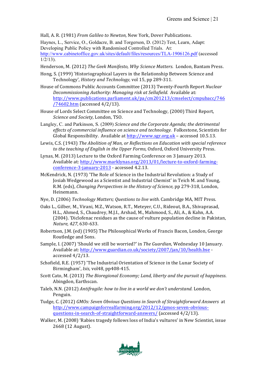Hall, A. R. (1981) *From Galileo to Newton,* New York, Dover Publications.

Haynes, L., Service, O., Goldacre, B. and Torgerson, D. (2012) Test, Learn, Adapt: Developing Public Policy with Randomised Controlled Trials. At: http://www.cabinetoffice.gov.uk/sites/default/files/resources/TLA-1906126.pdf (accessed  $1/2/13$ ).

Henderson, M. (2012) *The Geek Manifesto, Why Science Matters*. London, Bantam Press.

- Hong, S. (1999) 'Historiographical Layers in the Relationship Between Science and Technology', *History and Technology*, vol 15, pp 289-311.
- House of Commons Public Accounts Committee (2013) Twenty-Fourth Report Nuclear *Decommissioning Authority: Managing risk at Sellafield. Available at:* http://www.publications.parliament.uk/pa/cm201213/cmselect/cmpubacc/746 /74602.htm (accessed 4/2/13).
- House of Lords Select Committee on Science and Technology, (2000) Third Report, *Science and Society, London, TSO.*
- Langley, C. and Parkinson, S. (2009) *Science and the Corporate Agenda; the detrimental effects of commercial influence on science and technology.* Folkestone, Scientists for Global Responsibility. Available at http://www.sgr.org.uk - accessed 10.5.13.
- Lewis, C.S. (1943) The Abolition of Man, or Reflections on Education with special reference to the teaching of English in the Upper Forms, Oxford, Oxford University Press.
- Lynas, M. (2013) Lecture to the Oxford Farming Conference on 3 January 2013. Available at: http://www.marklynas.org/2013/01/lecture-to-oxford-farmingconference-3-january-2013 - accessed 4.2.13.
- McKendrick, N. (1973) 'The Role of Science in the Industrial Revolution: a Study of Josiah Wedgewood as a Scientist and Industrial Chemist' in Teich M. and Young, R.M. (eds), *Changing Perspectives in the History of Science*, pp 279-318, London, Heinemann.
- Nye, D. (2006) *Technology Matters; Questions to live with.* Cambridge MA, MIT Press.
- Oaks L., Gilber, M., Virani, M.Z., Watson, R.T., Metever, C.U., Rideout, B.A., Shivaprasad, H.L., Ahmed, S., Chaudrey, M.J.I., Arshad, M., Mahmood, S., Ali, A., & Kahn, A.A. (2004). 'Diclofenac residues as the cause of vulture population decline in Pakistan, *Nature, 427,* 630-633.
- Robertson, J.M. (ed) (1905) The Philosophical Works of Francis Bacon, London, George Routledge and Sons.
- Sample, I. (2007) 'Should we still be worried?' in *The Guardian*, Wednesday 10 January. Available at: http://www.guardian.co.uk/society/2007/jan/10/health.bse accessed 4/2/13.
- Schofield, R.E. (1957) 'The Industrial Orientation of Science in the Lunar Society of Birmingham', *Isis*, vol48, pp408-415.
- Scott Cato, M. (2013) The Bioregional Economy; Land, liberty and the pursuit of happiness. Abingdon, Earthscan.
- Taleb, N.N. (2012) Antifragile: how to live in a world we don't understand. London, Penguin.
- Tudge, C. (2012) *GMOs: Seven Obvious Questions in Search of Straightforward Answers* at http://www.campaignforrealfarming.org/2012/12/gmos-seven-obviousquestions-in-search-of-straightforward-answers/ (accessed 4/2/13).
- Walker, M. (2008) 'Rabies tragedy follows loss of India's vultures' in New Scientist, issue 2668 (12 August).

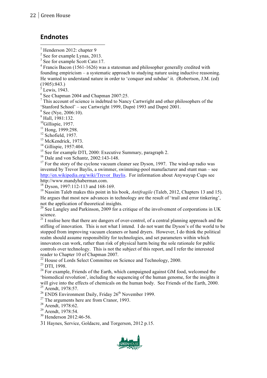#### **Endnotes**

<sup>4</sup> Francis Bacon (1561-1626) was a statesman and philosopher generally credited with founding empiricism – a systematic approach to studying nature using inductive reasoning. He wanted to understand nature in order to 'conquer and subdue' it. (Robertson, J.M. (ed) (1905):843.)

Lewis, 1943.

<sup>6</sup> See Chapman 2004 and Chapman 2007:25.

 $\frac{7}{1}$  This account of science is indebted to Nancy Cartwright and other philosophers of the 'Stanford School' – see Cartwright 1999, Dupré 1993 and Dupré 2001.

<sup>8</sup> See (Nye, 2006:10).

 $^{9}$  Hall, 1981:132.<br><sup>10</sup>Gillispie, 1957.

<sup>11</sup> Hong, 1999:298.

 $12$  Schofield, 1957.

<sup>13</sup> McKendrick, 1973.

<sup>14</sup> Gillispie, 1957:404.

<sup>15</sup> See for example DTI, 2000: Executive Summary, paragraph 2.

<sup>16</sup> Dale and von Schantz, 2002:143-148.

 $17$  For the story of the cyclone vacuum cleaner see Dyson, 1997. The wind-up radio was invented by Trevor Baylis, a swimmer, swimming-pool manufacturer and stunt man – see http://en.wikipedia.org/wiki/Trevor\_Baylis. For information about Anywayup Cups see http://www.mandyhaberman.com.

 $18 \text{ Dyson}$ , 1997:112-113 and 168-169.

<sup>19</sup> Nassim Taleb makes this point in his book, *Antifragile* (Taleb, 2012, Chapters 13 and 15). He argues that most new advances in technology are the result of 'trail and error tinkering'. not the application of theoretical insights.

<sup>20</sup> See Langley and Parkinson, 2009 for a critique of the involvement of corporations in UK science.

 $2<sup>1</sup>$  I realise here that there are dangers of over-control, of a central planning approach and the stifling of innovation. This is not what I intend. I do not want the Dyson's of the world to be stopped from improving vacuum cleaners or hand dryers. However, I do think the political realm should assume responsibility for technologies, and set parameters within which innovators can work, rather than risk of physical harm being the sole rationale for public controls over technology. This is not the subject of this report, and I refer the interested reader to Chapter 10 of Chapman 2007.

 $22$  House of Lords Select Committee on Science and Technology, 2000.

<sup>23</sup> DTI, 1998.

 $24$  For example, Friends of the Earth, which campaigned against GM food, welcomed the 'biomedical revolution', including the sequencing of the human genome, for the insights it will give into the effects of chemicals on the human body. See Friends of the Earth, 2000. <sup>25</sup> Arendt, 1978:57.

 $26$  ENDS Environment Daily, Friday  $26<sup>th</sup>$  November 1999.

<sup>27</sup> The arguments here are from Cranor, 1993.<br><sup>28</sup> Arendt, 1978:62.

<sup>29</sup> Arendt, 1978:54.

<sup>30</sup> Henderson 2012:46-56.

31 Haynes, Service, Goldacre, and Torgerson, 2012 p.15.



Henderson 2012: chapter 9

 $2$  See for example Lynas, 2013.

<sup>&</sup>lt;sup>3</sup> See for example Scott Cato:17.